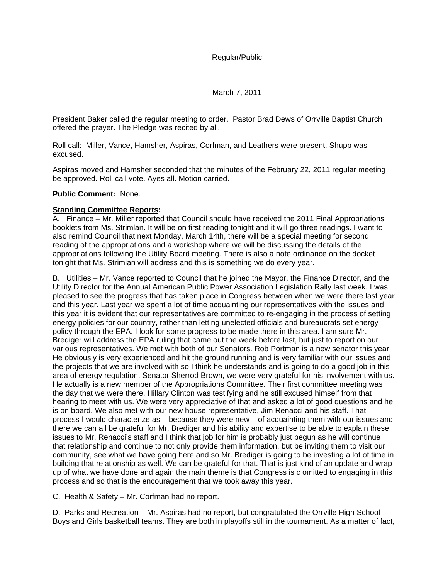March 7, 2011

President Baker called the regular meeting to order. Pastor Brad Dews of Orrville Baptist Church offered the prayer. The Pledge was recited by all.

Roll call: Miller, Vance, Hamsher, Aspiras, Corfman, and Leathers were present. Shupp was excused.

Aspiras moved and Hamsher seconded that the minutes of the February 22, 2011 regular meeting be approved. Roll call vote. Ayes all. Motion carried.

### **Public Comment:** None.

## **Standing Committee Reports:**

A. Finance – Mr. Miller reported that Council should have received the 2011 Final Appropriations booklets from Ms. Strimlan. It will be on first reading tonight and it will go three readings. I want to also remind Council that next Monday, March 14th, there will be a special meeting for second reading of the appropriations and a workshop where we will be discussing the details of the appropriations following the Utility Board meeting. There is also a note ordinance on the docket tonight that Ms. Strimlan will address and this is something we do every year.

B. Utilities – Mr. Vance reported to Council that he joined the Mayor, the Finance Director, and the Utility Director for the Annual American Public Power Association Legislation Rally last week. I was pleased to see the progress that has taken place in Congress between when we were there last year and this year. Last year we spent a lot of time acquainting our representatives with the issues and this year it is evident that our representatives are committed to re-engaging in the process of setting energy policies for our country, rather than letting unelected officials and bureaucrats set energy policy through the EPA. I look for some progress to be made there in this area. I am sure Mr. Brediger will address the EPA ruling that came out the week before last, but just to report on our various representatives. We met with both of our Senators. Rob Portman is a new senator this year. He obviously is very experienced and hit the ground running and is very familiar with our issues and the projects that we are involved with so I think he understands and is going to do a good job in this area of energy regulation. Senator Sherrod Brown, we were very grateful for his involvement with us. He actually is a new member of the Appropriations Committee. Their first committee meeting was the day that we were there. Hillary Clinton was testifying and he still excused himself from that hearing to meet with us. We were very appreciative of that and asked a lot of good questions and he is on board. We also met with our new house representative, Jim Renacci and his staff. That process I would characterize as – because they were new – of acquainting them with our issues and there we can all be grateful for Mr. Brediger and his ability and expertise to be able to explain these issues to Mr. Renacci's staff and I think that job for him is probably just begun as he will continue that relationship and continue to not only provide them information, but be inviting them to visit our community, see what we have going here and so Mr. Brediger is going to be investing a lot of time in building that relationship as well. We can be grateful for that. That is just kind of an update and wrap up of what we have done and again the main theme is that Congress is c omitted to engaging in this process and so that is the encouragement that we took away this year.

C. Health & Safety – Mr. Corfman had no report.

D. Parks and Recreation – Mr. Aspiras had no report, but congratulated the Orrville High School Boys and Girls basketball teams. They are both in playoffs still in the tournament. As a matter of fact,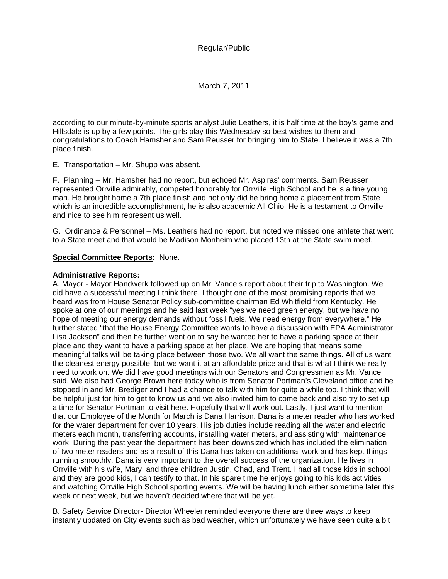March 7, 2011

according to our minute-by-minute sports analyst Julie Leathers, it is half time at the boy's game and Hillsdale is up by a few points. The girls play this Wednesday so best wishes to them and congratulations to Coach Hamsher and Sam Reusser for bringing him to State. I believe it was a 7th place finish.

E. Transportation – Mr. Shupp was absent.

F. Planning – Mr. Hamsher had no report, but echoed Mr. Aspiras' comments. Sam Reusser represented Orrville admirably, competed honorably for Orrville High School and he is a fine young man. He brought home a 7th place finish and not only did he bring home a placement from State which is an incredible accomplishment, he is also academic All Ohio. He is a testament to Orrville and nice to see him represent us well.

G. Ordinance & Personnel – Ms. Leathers had no report, but noted we missed one athlete that went to a State meet and that would be Madison Monheim who placed 13th at the State swim meet.

## **Special Committee Reports:** None.

### **Administrative Reports:**

A. Mayor - Mayor Handwerk followed up on Mr. Vance's report about their trip to Washington. We did have a successful meeting I think there. I thought one of the most promising reports that we heard was from House Senator Policy sub-committee chairman Ed Whitfield from Kentucky. He spoke at one of our meetings and he said last week "yes we need green energy, but we have no hope of meeting our energy demands without fossil fuels. We need energy from everywhere." He further stated "that the House Energy Committee wants to have a discussion with EPA Administrator Lisa Jackson" and then he further went on to say he wanted her to have a parking space at their place and they want to have a parking space at her place. We are hoping that means some meaningful talks will be taking place between those two. We all want the same things. All of us want the cleanest energy possible, but we want it at an affordable price and that is what I think we really need to work on. We did have good meetings with our Senators and Congressmen as Mr. Vance said. We also had George Brown here today who is from Senator Portman's Cleveland office and he stopped in and Mr. Brediger and I had a chance to talk with him for quite a while too. I think that will be helpful just for him to get to know us and we also invited him to come back and also try to set up a time for Senator Portman to visit here. Hopefully that will work out. Lastly, I just want to mention that our Employee of the Month for March is Dana Harrison. Dana is a meter reader who has worked for the water department for over 10 years. His job duties include reading all the water and electric meters each month, transferring accounts, installing water meters, and assisting with maintenance work. During the past year the department has been downsized which has included the elimination of two meter readers and as a result of this Dana has taken on additional work and has kept things running smoothly. Dana is very important to the overall success of the organization. He lives in Orrville with his wife, Mary, and three children Justin, Chad, and Trent. I had all those kids in school and they are good kids, I can testify to that. In his spare time he enjoys going to his kids activities and watching Orrville High School sporting events. We will be having lunch either sometime later this week or next week, but we haven't decided where that will be yet.

B. Safety Service Director- Director Wheeler reminded everyone there are three ways to keep instantly updated on City events such as bad weather, which unfortunately we have seen quite a bit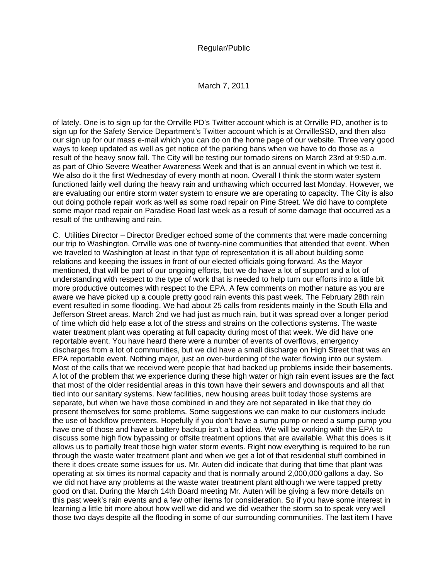March 7, 2011

of lately. One is to sign up for the Orrville PD's Twitter account which is at Orrville PD, another is to sign up for the Safety Service Department's Twitter account which is at OrrvilleSSD, and then also our sign up for our mass e-mail which you can do on the home page of our website. Three very good ways to keep updated as well as get notice of the parking bans when we have to do those as a result of the heavy snow fall. The City will be testing our tornado sirens on March 23rd at 9:50 a.m. as part of Ohio Severe Weather Awareness Week and that is an annual event in which we test it. We also do it the first Wednesday of every month at noon. Overall I think the storm water system functioned fairly well during the heavy rain and unthawing which occurred last Monday. However, we are evaluating our entire storm water system to ensure we are operating to capacity. The City is also out doing pothole repair work as well as some road repair on Pine Street. We did have to complete some major road repair on Paradise Road last week as a result of some damage that occurred as a result of the unthawing and rain.

C. Utilities Director – Director Brediger echoed some of the comments that were made concerning our trip to Washington. Orrville was one of twenty-nine communities that attended that event. When we traveled to Washington at least in that type of representation it is all about building some relations and keeping the issues in front of our elected officials going forward. As the Mayor mentioned, that will be part of our ongoing efforts, but we do have a lot of support and a lot of understanding with respect to the type of work that is needed to help turn our efforts into a little bit more productive outcomes with respect to the EPA. A few comments on mother nature as you are aware we have picked up a couple pretty good rain events this past week. The February 28th rain event resulted in some flooding. We had about 25 calls from residents mainly in the South Ella and Jefferson Street areas. March 2nd we had just as much rain, but it was spread over a longer period of time which did help ease a lot of the stress and strains on the collections systems. The waste water treatment plant was operating at full capacity during most of that week. We did have one reportable event. You have heard there were a number of events of overflows, emergency discharges from a lot of communities, but we did have a small discharge on High Street that was an EPA reportable event. Nothing major, just an over-burdening of the water flowing into our system. Most of the calls that we received were people that had backed up problems inside their basements. A lot of the problem that we experience during these high water or high rain event issues are the fact that most of the older residential areas in this town have their sewers and downspouts and all that tied into our sanitary systems. New facilities, new housing areas built today those systems are separate, but when we have those combined in and they are not separated in like that they do present themselves for some problems. Some suggestions we can make to our customers include the use of backflow preventers. Hopefully if you don't have a sump pump or need a sump pump you have one of those and have a battery backup isn't a bad idea. We will be working with the EPA to discuss some high flow bypassing or offsite treatment options that are available. What this does is it allows us to partially treat those high water storm events. Right now everything is required to be run through the waste water treatment plant and when we get a lot of that residential stuff combined in there it does create some issues for us. Mr. Auten did indicate that during that time that plant was operating at six times its normal capacity and that is normally around 2,000,000 gallons a day. So we did not have any problems at the waste water treatment plant although we were tapped pretty good on that. During the March 14th Board meeting Mr. Auten will be giving a few more details on this past week's rain events and a few other items for consideration. So if you have some interest in learning a little bit more about how well we did and we did weather the storm so to speak very well those two days despite all the flooding in some of our surrounding communities. The last item I have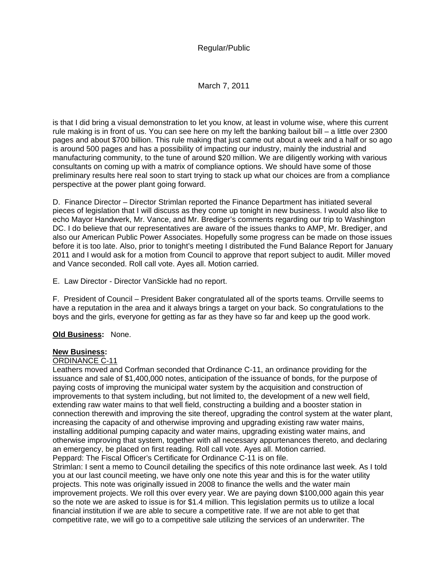March 7, 2011

is that I did bring a visual demonstration to let you know, at least in volume wise, where this current rule making is in front of us. You can see here on my left the banking bailout bill – a little over 2300 pages and about \$700 billion. This rule making that just came out about a week and a half or so ago is around 500 pages and has a possibility of impacting our industry, mainly the industrial and manufacturing community, to the tune of around \$20 million. We are diligently working with various consultants on coming up with a matrix of compliance options. We should have some of those preliminary results here real soon to start trying to stack up what our choices are from a compliance perspective at the power plant going forward.

D. Finance Director – Director Strimlan reported the Finance Department has initiated several pieces of legislation that I will discuss as they come up tonight in new business. I would also like to echo Mayor Handwerk, Mr. Vance, and Mr. Brediger's comments regarding our trip to Washington DC. I do believe that our representatives are aware of the issues thanks to AMP, Mr. Brediger, and also our American Public Power Associates. Hopefully some progress can be made on those issues before it is too late. Also, prior to tonight's meeting I distributed the Fund Balance Report for January 2011 and I would ask for a motion from Council to approve that report subject to audit. Miller moved and Vance seconded. Roll call vote. Ayes all. Motion carried.

E. Law Director - Director VanSickle had no report.

F. President of Council – President Baker congratulated all of the sports teams. Orrville seems to have a reputation in the area and it always brings a target on your back. So congratulations to the boys and the girls, everyone for getting as far as they have so far and keep up the good work.

## **Old Business:** None.

#### **New Business:**

## ORDINANCE C-11

Leathers moved and Corfman seconded that Ordinance C-11, an ordinance providing for the issuance and sale of \$1,400,000 notes, anticipation of the issuance of bonds, for the purpose of paying costs of improving the municipal water system by the acquisition and construction of improvements to that system including, but not limited to, the development of a new well field, extending raw water mains to that well field, constructing a building and a booster station in connection therewith and improving the site thereof, upgrading the control system at the water plant, increasing the capacity of and otherwise improving and upgrading existing raw water mains, installing additional pumping capacity and water mains, upgrading existing water mains, and otherwise improving that system, together with all necessary appurtenances thereto, and declaring an emergency, be placed on first reading. Roll call vote. Ayes all. Motion carried. Peppard: The Fiscal Officer's Certificate for Ordinance C-11 is on file.

Strimlan: I sent a memo to Council detailing the specifics of this note ordinance last week. As I told you at our last council meeting, we have only one note this year and this is for the water utility projects. This note was originally issued in 2008 to finance the wells and the water main improvement projects. We roll this over every year. We are paying down \$100,000 again this year so the note we are asked to issue is for \$1.4 million. This legislation permits us to utilize a local financial institution if we are able to secure a competitive rate. If we are not able to get that competitive rate, we will go to a competitive sale utilizing the services of an underwriter. The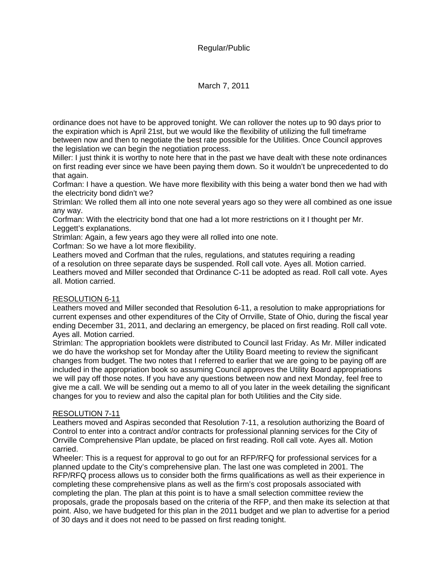March 7, 2011

ordinance does not have to be approved tonight. We can rollover the notes up to 90 days prior to the expiration which is April 21st, but we would like the flexibility of utilizing the full timeframe between now and then to negotiate the best rate possible for the Utilities. Once Council approves the legislation we can begin the negotiation process.

Miller: I just think it is worthy to note here that in the past we have dealt with these note ordinances on first reading ever since we have been paying them down. So it wouldn't be unprecedented to do that again.

Corfman: I have a question. We have more flexibility with this being a water bond then we had with the electricity bond didn't we?

Strimlan: We rolled them all into one note several years ago so they were all combined as one issue any way.

Corfman: With the electricity bond that one had a lot more restrictions on it I thought per Mr. Leggett's explanations.

Strimlan: Again, a few years ago they were all rolled into one note.

Corfman: So we have a lot more flexibility.

Leathers moved and Corfman that the rules, regulations, and statutes requiring a reading of a resolution on three separate days be suspended. Roll call vote. Ayes all. Motion carried. Leathers moved and Miller seconded that Ordinance C-11 be adopted as read. Roll call vote. Ayes all. Motion carried.

# RESOLUTION 6-11

Leathers moved and Miller seconded that Resolution 6-11, a resolution to make appropriations for current expenses and other expenditures of the City of Orrville, State of Ohio, during the fiscal year ending December 31, 2011, and declaring an emergency, be placed on first reading. Roll call vote. Ayes all. Motion carried.

Strimlan: The appropriation booklets were distributed to Council last Friday. As Mr. Miller indicated we do have the workshop set for Monday after the Utility Board meeting to review the significant changes from budget. The two notes that I referred to earlier that we are going to be paying off are included in the appropriation book so assuming Council approves the Utility Board appropriations we will pay off those notes. If you have any questions between now and next Monday, feel free to give me a call. We will be sending out a memo to all of you later in the week detailing the significant changes for you to review and also the capital plan for both Utilities and the City side.

# RESOLUTION 7-11

Leathers moved and Aspiras seconded that Resolution 7-11, a resolution authorizing the Board of Control to enter into a contract and/or contracts for professional planning services for the City of Orrville Comprehensive Plan update, be placed on first reading. Roll call vote. Ayes all. Motion carried.

Wheeler: This is a request for approval to go out for an RFP/RFQ for professional services for a planned update to the City's comprehensive plan. The last one was completed in 2001. The RFP/RFQ process allows us to consider both the firms qualifications as well as their experience in completing these comprehensive plans as well as the firm's cost proposals associated with completing the plan. The plan at this point is to have a small selection committee review the proposals, grade the proposals based on the criteria of the RFP, and then make its selection at that point. Also, we have budgeted for this plan in the 2011 budget and we plan to advertise for a period of 30 days and it does not need to be passed on first reading tonight.